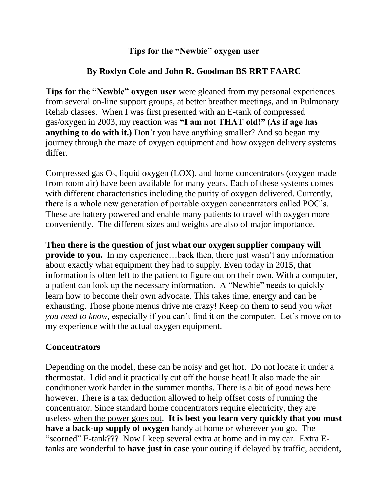### **Tips for the "Newbie" oxygen user**

## **By Roxlyn Cole and John R. Goodman BS RRT FAARC**

**Tips for the "Newbie" oxygen user** were gleaned from my personal experiences from several on-line support groups, at better breather meetings, and in Pulmonary Rehab classes. When I was first presented with an E-tank of compressed gas/oxygen in 2003, my reaction was **"I am not THAT old!" (As if age has anything to do with it.)** Don't you have anything smaller? And so began my journey through the maze of oxygen equipment and how oxygen delivery systems differ.

Compressed gas  $O_2$ , liquid oxygen (LOX), and home concentrators (oxygen made from room air) have been available for many years. Each of these systems comes with different characteristics including the purity of oxygen delivered. Currently, there is a whole new generation of portable oxygen concentrators called POC's. These are battery powered and enable many patients to travel with oxygen more conveniently. The different sizes and weights are also of major importance.

**Then there is the question of just what our oxygen supplier company will provide to you.** In my experience...back then, there just wasn't any information about exactly what equipment they had to supply. Even today in 2015, that information is often left to the patient to figure out on their own. With a computer, a patient can look up the necessary information. A "Newbie" needs to quickly learn how to become their own advocate. This takes time, energy and can be exhausting. Those phone menus drive me crazy! Keep on them to send you *what you need to know,* especially if you can't find it on the computer. Let's move on to my experience with the actual oxygen equipment.

#### **Concentrators**

Depending on the model, these can be noisy and get hot. Do not locate it under a thermostat. I did and it practically cut off the house heat! It also made the air conditioner work harder in the summer months. There is a bit of good news here however. There is a tax deduction allowed to help offset costs of running the concentrator. Since standard home concentrators require electricity, they are useless when the power goes out. **It is best you learn very quickly that you must have a back-up supply of oxygen** handy at home or wherever you go. The "scorned" E-tank??? Now I keep several extra at home and in my car. Extra Etanks are wonderful to **have just in case** your outing if delayed by traffic, accident,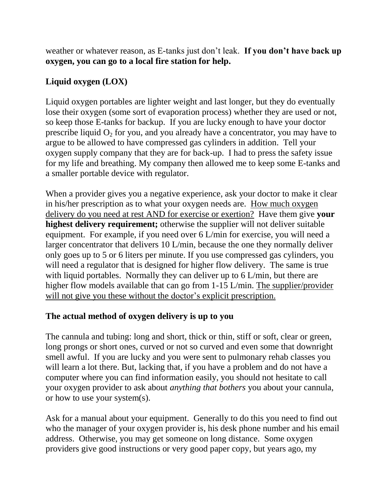weather or whatever reason, as E-tanks just don't leak. **If you don't have back up oxygen, you can go to a local fire station for help.**

# **Liquid oxygen (LOX)**

Liquid oxygen portables are lighter weight and last longer, but they do eventually lose their oxygen (some sort of evaporation process) whether they are used or not, so keep those E-tanks for backup. If you are lucky enough to have your doctor prescribe liquid  $O_2$  for you, and you already have a concentrator, you may have to argue to be allowed to have compressed gas cylinders in addition. Tell your oxygen supply company that they are for back-up. I had to press the safety issue for my life and breathing. My company then allowed me to keep some E-tanks and a smaller portable device with regulator.

When a provider gives you a negative experience, ask your doctor to make it clear in his/her prescription as to what your oxygen needs are. How much oxygen delivery do you need at rest AND for exercise or exertion? Have them give **your highest delivery requirement;** otherwise the supplier will not deliver suitable equipment. For example, if you need over 6 L/min for exercise, you will need a larger concentrator that delivers 10 L/min, because the one they normally deliver only goes up to 5 or 6 liters per minute. If you use compressed gas cylinders, you will need a regulator that is designed for higher flow delivery. The same is true with liquid portables. Normally they can deliver up to 6 L/min, but there are higher flow models available that can go from 1-15 L/min. The supplier/provider will not give you these without the doctor's explicit prescription.

## **The actual method of oxygen delivery is up to you**

The cannula and tubing: long and short, thick or thin, stiff or soft, clear or green, long prongs or short ones, curved or not so curved and even some that downright smell awful. If you are lucky and you were sent to pulmonary rehab classes you will learn a lot there. But, lacking that, if you have a problem and do not have a computer where you can find information easily, you should not hesitate to call your oxygen provider to ask about *anything that bothers* you about your cannula, or how to use your system(s).

Ask for a manual about your equipment. Generally to do this you need to find out who the manager of your oxygen provider is, his desk phone number and his email address. Otherwise, you may get someone on long distance. Some oxygen providers give good instructions or very good paper copy, but years ago, my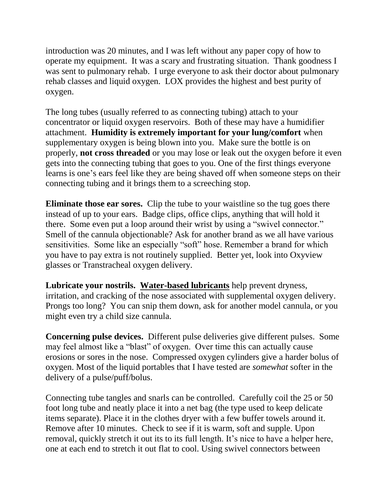introduction was 20 minutes, and I was left without any paper copy of how to operate my equipment. It was a scary and frustrating situation. Thank goodness I was sent to pulmonary rehab. I urge everyone to ask their doctor about pulmonary rehab classes and liquid oxygen. LOX provides the highest and best purity of oxygen.

The long tubes (usually referred to as connecting tubing) attach to your concentrator or liquid oxygen reservoirs. Both of these may have a humidifier attachment. **Humidity is extremely important for your lung/comfort** when supplementary oxygen is being blown into you. Make sure the bottle is on properly, **not cross threaded** or you may lose or leak out the oxygen before it even gets into the connecting tubing that goes to you. One of the first things everyone learns is one's ears feel like they are being shaved off when someone steps on their connecting tubing and it brings them to a screeching stop.

**Eliminate those ear sores.** Clip the tube to your waistline so the tug goes there instead of up to your ears. Badge clips, office clips, anything that will hold it there. Some even put a loop around their wrist by using a "swivel connector." Smell of the cannula objectionable? Ask for another brand as we all have various sensitivities. Some like an especially "soft" hose. Remember a brand for which you have to pay extra is not routinely supplied. Better yet, look into Oxyview glasses or Transtracheal oxygen delivery.

**Lubricate your nostrils. Water-based lubricants** help prevent dryness, irritation, and cracking of the nose associated with supplemental oxygen delivery. Prongs too long? You can snip them down, ask for another model cannula, or you might even try a child size cannula.

**Concerning pulse devices.** Different pulse deliveries give different pulses. Some may feel almost like a "blast" of oxygen. Over time this can actually cause erosions or sores in the nose. Compressed oxygen cylinders give a harder bolus of oxygen. Most of the liquid portables that I have tested are *somewhat* softer in the delivery of a pulse/puff/bolus.

Connecting tube tangles and snarls can be controlled. Carefully coil the 25 or 50 foot long tube and neatly place it into a net bag (the type used to keep delicate items separate). Place it in the clothes dryer with a few buffer towels around it. Remove after 10 minutes. Check to see if it is warm, soft and supple. Upon removal, quickly stretch it out its to its full length. It's nice to have a helper here, one at each end to stretch it out flat to cool. Using swivel connectors between